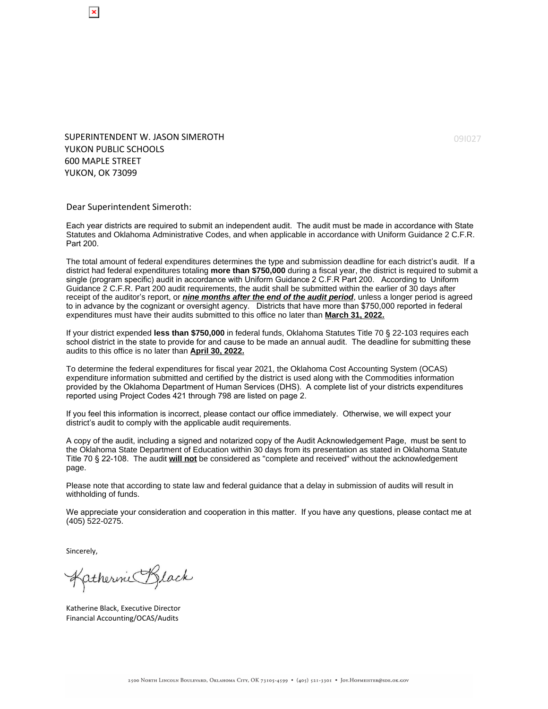SUPERINTENDENT W. JASON SIMEROTH YUKON PUBLIC SCHOOLS 600 MAPLE STREET YUKON, OK 73099

Dear Superintendent Simeroth:

Each year districts are required to submit an independent audit. The audit must be made in accordance with State Statutes and Oklahoma Administrative Codes, and when applicable in accordance with Uniform Guidance 2 C.F.R. Part 200.

The total amount of federal expenditures determines the type and submission deadline for each district's audit. If a district had federal expenditures totaling **more than \$750,000** during a fiscal year, the district is required to submit a single (program specific) audit in accordance with Uniform Guidance 2 C.F.R Part 200. According to Uniform Guidance 2 C.F.R. Part 200 audit requirements, the audit shall be submitted within the earlier of 30 days after receipt of the auditor's report, or **nine months after the end of the audit period**, unless a longer period is agreed to in advance by the cognizant or oversight agency. Districts that have more than \$750,000 reported in federal expenditures must have their audits submitted to this office no later than **March 31, 2022.**

If your district expended **less than \$750,000** in federal funds, Oklahoma Statutes Title 70 § 22-103 requires each school district in the state to provide for and cause to be made an annual audit. The deadline for submitting these audits to this office is no later than **April 30, 2022.**

To determine the federal expenditures for fiscal year 2021, the Oklahoma Cost Accounting System (OCAS) expenditure information submitted and certified by the district is used along with the Commodities information provided by the Oklahoma Department of Human Services (DHS). A complete list of your districts expenditures reported using Project Codes 421 through 798 are listed on page 2.

If you feel this information is incorrect, please contact our office immediately. Otherwise, we will expect your district's audit to comply with the applicable audit requirements.

A copy of the audit, including a signed and notarized copy of the Audit Acknowledgement Page, must be sent to the Oklahoma State Department of Education within 30 days from its presentation as stated in Oklahoma Statute Title 70 § 22-108. The audit **will not** be considered as "complete and received" without the acknowledgement page.

Please note that according to state law and federal guidance that a delay in submission of audits will result in withholding of funds.

We appreciate your consideration and cooperation in this matter. If you have any questions, please contact me at (405) 522-0275.

Sincerely,

Katherine Black

Katherine Black, Executive Director Financial Accounting/OCAS/Audits

09I027